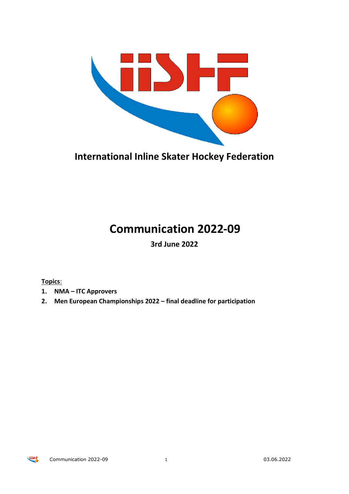

**International Inline Skater Hockey Federation**

## **Communication 2022-09**

**3rd June 2022**

**Topics**:

- **1. NMA – ITC Approvers**
- **2. Men European Championships 2022 – final deadline for participation**

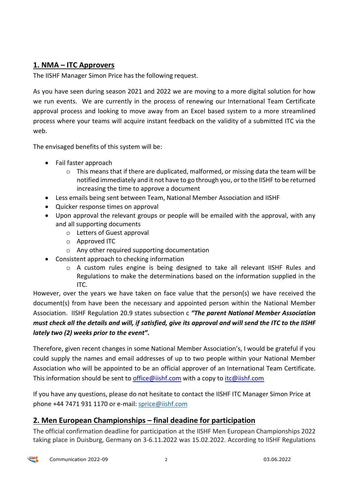## **1. NMA – ITC Approvers**

The IISHF Manager Simon Price has the following request.

As you have seen during season 2021 and 2022 we are moving to a more digital solution for how we run events. We are currently in the process of renewing our International Team Certificate approval process and looking to move away from an Excel based system to a more streamlined process where your teams will acquire instant feedback on the validity of a submitted ITC via the web.

The envisaged benefits of this system will be:

- Fail faster approach
	- $\circ$  This means that if there are duplicated, malformed, or missing data the team will be notified immediately and it not have to go through you, or to the IISHF to be returned increasing the time to approve a document
- Less emails being sent between Team, National Member Association and IISHF
- Quicker response times on approval
- Upon approval the relevant groups or people will be emailed with the approval, with any and all supporting documents
	- o Letters of Guest approval
	- o Approved ITC
	- o Any other required supporting documentation
- Consistent approach to checking information
	- o A custom rules engine is being designed to take all relevant IISHF Rules and Regulations to make the determinations based on the information supplied in the ITC.

However, over the years we have taken on face value that the person(s) we have received the document(s) from have been the necessary and appointed person within the National Member Association. IISHF Regulation 20.9 states subsection c *"The parent National Member Association must check all the details and will, if satisfied, give its approval and will send the ITC to the IISHF lately two (2) weeks prior to the event".*

Therefore, given recent changes in some National Member Association's, I would be grateful if you could supply the names and email addresses of up to two people within your National Member Association who will be appointed to be an official approver of an International Team Certificate. This information should be sent to [office@iishf.com](mailto:office@iishf.com) with a copy t[o itc@iishf.com](mailto:itc@iishf.com)

If you have any questions, please do not hesitate to contact the IISHF ITC Manager Simon Price at phone +44 7471 931 1170 or e-mail: [sprice@iishf.com](mailto:sprice@iishf.com)

## **2. Men European Championships – final deadine for participation**

The official confirmation deadline for participation at the IISHF Men European Championships 2022 taking place in Duisburg, Germany on 3-6.11.2022 was 15.02.2022. According to IISHF Regulations